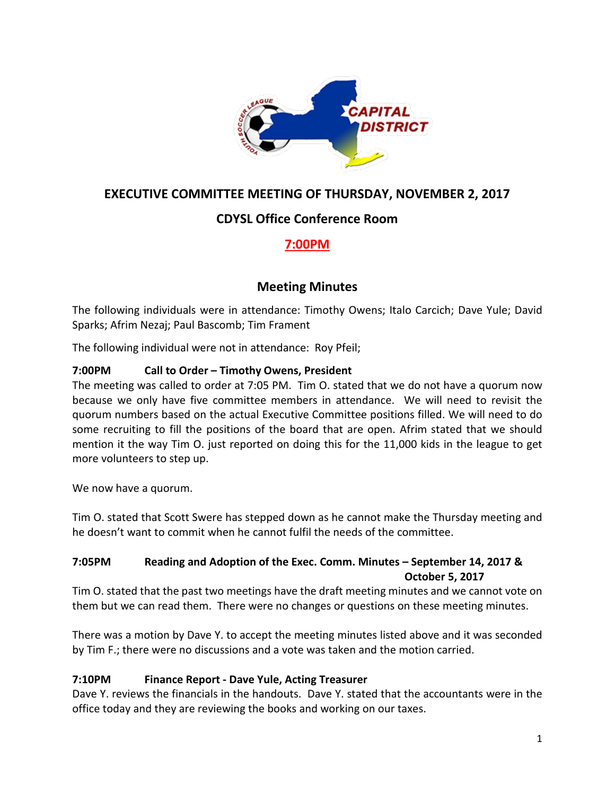

## **EXECUTIVE COMMITTEE MEETING OF THURSDAY, NOVEMBER 2, 2017**

## **CDYSL Office Conference Room**

# **7:00PM**

## **Meeting Minutes**

The following individuals were in attendance: Timothy Owens; Italo Carcich; Dave Yule; David Sparks; Afrim Nezaj; Paul Bascomb; Tim Frament

The following individual were not in attendance: Roy Pfeil;

## **7:00PM Call to Order – Timothy Owens, President**

The meeting was called to order at 7:05 PM. Tim O. stated that we do not have a quorum now because we only have five committee members in attendance. We will need to revisit the quorum numbers based on the actual Executive Committee positions filled. We will need to do some recruiting to fill the positions of the board that are open. Afrim stated that we should mention it the way Tim O. just reported on doing this for the 11,000 kids in the league to get more volunteers to step up.

We now have a quorum.

Tim O. stated that Scott Swere has stepped down as he cannot make the Thursday meeting and he doesn't want to commit when he cannot fulfil the needs of the committee.

## **7:05PM Reading and Adoption of the Exec. Comm. Minutes – September 14, 2017 & October 5, 2017**

Tim O. stated that the past two meetings have the draft meeting minutes and we cannot vote on them but we can read them. There were no changes or questions on these meeting minutes.

There was a motion by Dave Y. to accept the meeting minutes listed above and it was seconded by Tim F.; there were no discussions and a vote was taken and the motion carried.

## **7:10PM Finance Report - Dave Yule, Acting Treasurer**

Dave Y. reviews the financials in the handouts. Dave Y. stated that the accountants were in the office today and they are reviewing the books and working on our taxes.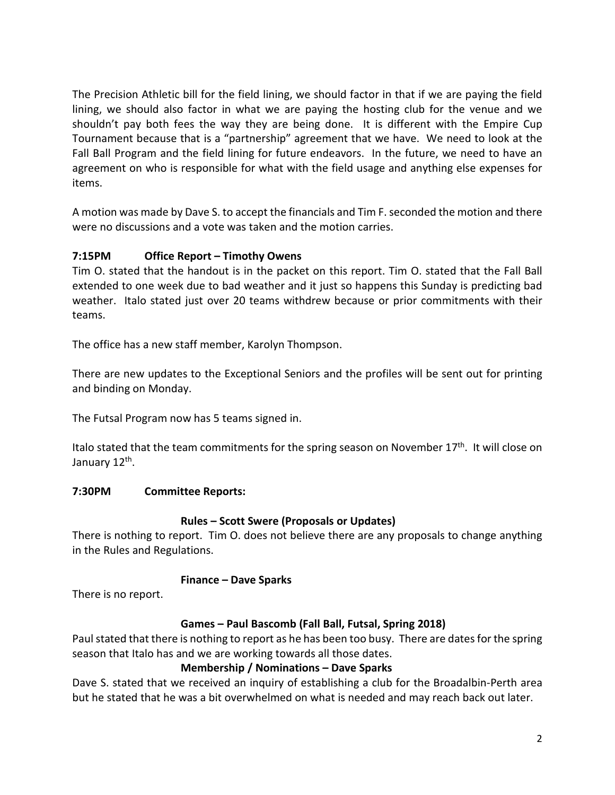The Precision Athletic bill for the field lining, we should factor in that if we are paying the field lining, we should also factor in what we are paying the hosting club for the venue and we shouldn't pay both fees the way they are being done. It is different with the Empire Cup Tournament because that is a "partnership" agreement that we have. We need to look at the Fall Ball Program and the field lining for future endeavors. In the future, we need to have an agreement on who is responsible for what with the field usage and anything else expenses for items.

A motion was made by Dave S. to accept the financials and Tim F. seconded the motion and there were no discussions and a vote was taken and the motion carries.

## **7:15PM Office Report – Timothy Owens**

Tim O. stated that the handout is in the packet on this report. Tim O. stated that the Fall Ball extended to one week due to bad weather and it just so happens this Sunday is predicting bad weather. Italo stated just over 20 teams withdrew because or prior commitments with their teams.

The office has a new staff member, Karolyn Thompson.

There are new updates to the Exceptional Seniors and the profiles will be sent out for printing and binding on Monday.

The Futsal Program now has 5 teams signed in.

Italo stated that the team commitments for the spring season on November 17<sup>th</sup>. It will close on January 12<sup>th</sup>.

#### **7:30PM Committee Reports:**

#### **Rules – Scott Swere (Proposals or Updates)**

There is nothing to report. Tim O. does not believe there are any proposals to change anything in the Rules and Regulations.

#### **Finance – Dave Sparks**

There is no report.

## **Games – Paul Bascomb (Fall Ball, Futsal, Spring 2018)**

Paul stated that there is nothing to report as he has been too busy. There are dates for the spring season that Italo has and we are working towards all those dates.

#### **Membership / Nominations – Dave Sparks**

Dave S. stated that we received an inquiry of establishing a club for the Broadalbin-Perth area but he stated that he was a bit overwhelmed on what is needed and may reach back out later.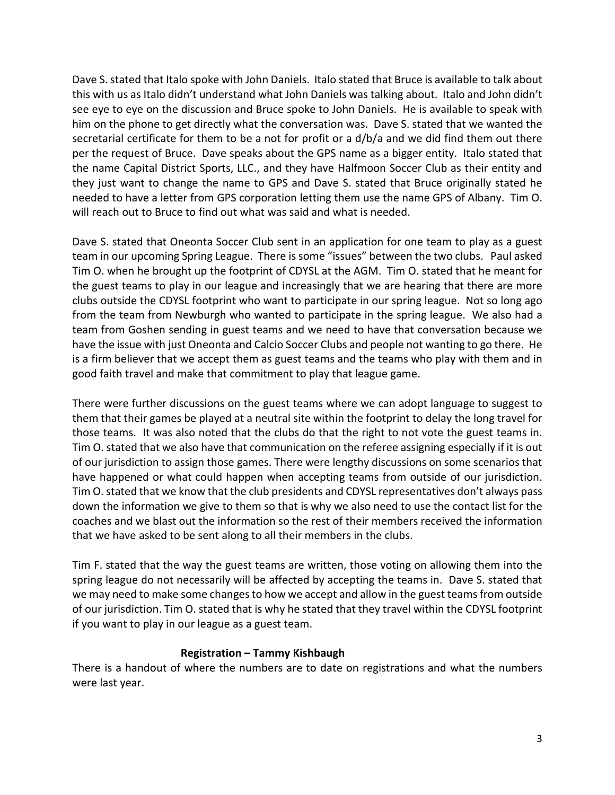Dave S. stated that Italo spoke with John Daniels. Italo stated that Bruce is available to talk about this with us as Italo didn't understand what John Daniels was talking about. Italo and John didn't see eye to eye on the discussion and Bruce spoke to John Daniels. He is available to speak with him on the phone to get directly what the conversation was. Dave S. stated that we wanted the secretarial certificate for them to be a not for profit or a d/b/a and we did find them out there per the request of Bruce. Dave speaks about the GPS name as a bigger entity. Italo stated that the name Capital District Sports, LLC., and they have Halfmoon Soccer Club as their entity and they just want to change the name to GPS and Dave S. stated that Bruce originally stated he needed to have a letter from GPS corporation letting them use the name GPS of Albany. Tim O. will reach out to Bruce to find out what was said and what is needed.

Dave S. stated that Oneonta Soccer Club sent in an application for one team to play as a guest team in our upcoming Spring League. There is some "issues" between the two clubs. Paul asked Tim O. when he brought up the footprint of CDYSL at the AGM. Tim O. stated that he meant for the guest teams to play in our league and increasingly that we are hearing that there are more clubs outside the CDYSL footprint who want to participate in our spring league. Not so long ago from the team from Newburgh who wanted to participate in the spring league. We also had a team from Goshen sending in guest teams and we need to have that conversation because we have the issue with just Oneonta and Calcio Soccer Clubs and people not wanting to go there. He is a firm believer that we accept them as guest teams and the teams who play with them and in good faith travel and make that commitment to play that league game.

There were further discussions on the guest teams where we can adopt language to suggest to them that their games be played at a neutral site within the footprint to delay the long travel for those teams. It was also noted that the clubs do that the right to not vote the guest teams in. Tim O. stated that we also have that communication on the referee assigning especially if it is out of our jurisdiction to assign those games. There were lengthy discussions on some scenarios that have happened or what could happen when accepting teams from outside of our jurisdiction. Tim O. stated that we know that the club presidents and CDYSL representatives don't always pass down the information we give to them so that is why we also need to use the contact list for the coaches and we blast out the information so the rest of their members received the information that we have asked to be sent along to all their members in the clubs.

Tim F. stated that the way the guest teams are written, those voting on allowing them into the spring league do not necessarily will be affected by accepting the teams in. Dave S. stated that we may need to make some changes to how we accept and allow in the guest teams from outside of our jurisdiction. Tim O. stated that is why he stated that they travel within the CDYSL footprint if you want to play in our league as a guest team.

## **Registration – Tammy Kishbaugh**

There is a handout of where the numbers are to date on registrations and what the numbers were last year.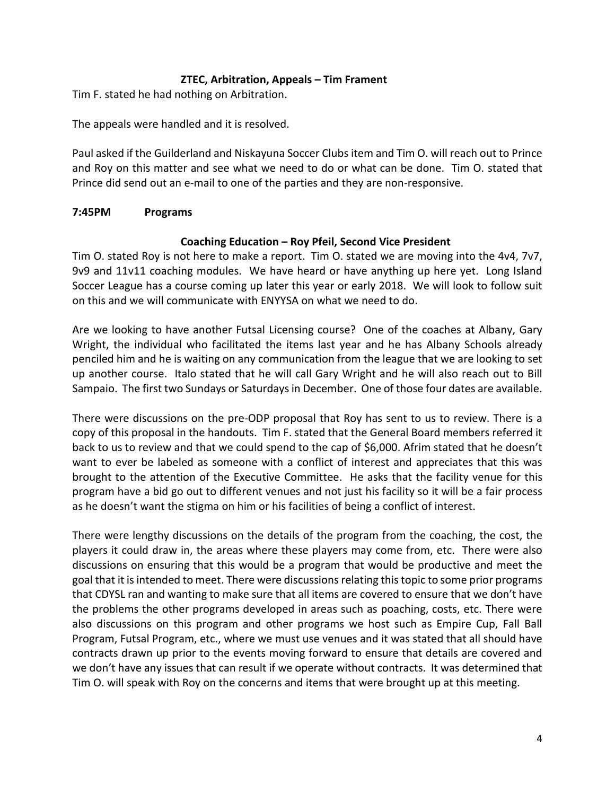#### **ZTEC, Arbitration, Appeals – Tim Frament**

Tim F. stated he had nothing on Arbitration.

The appeals were handled and it is resolved.

Paul asked if the Guilderland and Niskayuna Soccer Clubs item and Tim O. will reach out to Prince and Roy on this matter and see what we need to do or what can be done. Tim O. stated that Prince did send out an e-mail to one of the parties and they are non-responsive.

#### **7:45PM Programs**

#### **Coaching Education – Roy Pfeil, Second Vice President**

Tim O. stated Roy is not here to make a report. Tim O. stated we are moving into the 4v4, 7v7, 9v9 and 11v11 coaching modules. We have heard or have anything up here yet. Long Island Soccer League has a course coming up later this year or early 2018. We will look to follow suit on this and we will communicate with ENYYSA on what we need to do.

Are we looking to have another Futsal Licensing course? One of the coaches at Albany, Gary Wright, the individual who facilitated the items last year and he has Albany Schools already penciled him and he is waiting on any communication from the league that we are looking to set up another course. Italo stated that he will call Gary Wright and he will also reach out to Bill Sampaio. The first two Sundays or Saturdays in December. One of those four dates are available.

There were discussions on the pre-ODP proposal that Roy has sent to us to review. There is a copy of this proposal in the handouts. Tim F. stated that the General Board members referred it back to us to review and that we could spend to the cap of \$6,000. Afrim stated that he doesn't want to ever be labeled as someone with a conflict of interest and appreciates that this was brought to the attention of the Executive Committee. He asks that the facility venue for this program have a bid go out to different venues and not just his facility so it will be a fair process as he doesn't want the stigma on him or his facilities of being a conflict of interest.

There were lengthy discussions on the details of the program from the coaching, the cost, the players it could draw in, the areas where these players may come from, etc. There were also discussions on ensuring that this would be a program that would be productive and meet the goal that it is intended to meet. There were discussions relating this topic to some prior programs that CDYSL ran and wanting to make sure that all items are covered to ensure that we don't have the problems the other programs developed in areas such as poaching, costs, etc. There were also discussions on this program and other programs we host such as Empire Cup, Fall Ball Program, Futsal Program, etc., where we must use venues and it was stated that all should have contracts drawn up prior to the events moving forward to ensure that details are covered and we don't have any issues that can result if we operate without contracts. It was determined that Tim O. will speak with Roy on the concerns and items that were brought up at this meeting.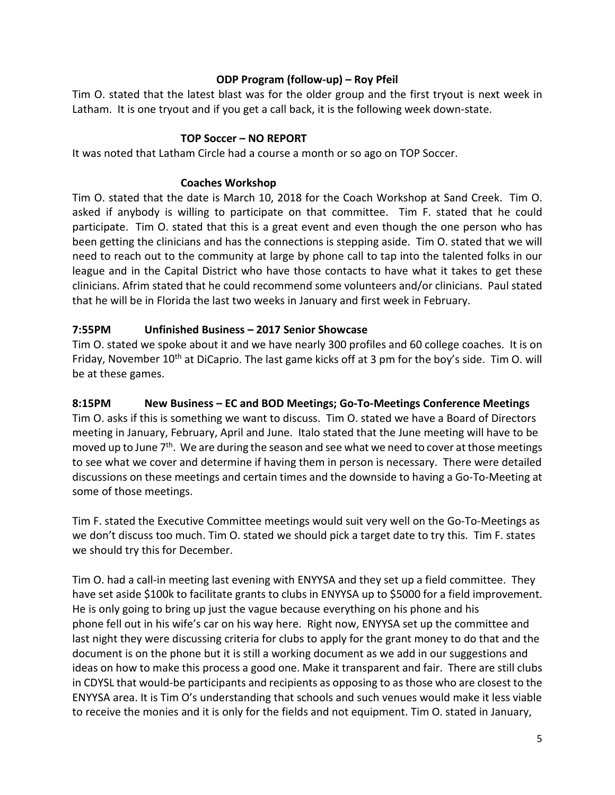### **ODP Program (follow-up) – Roy Pfeil**

Tim O. stated that the latest blast was for the older group and the first tryout is next week in Latham. It is one tryout and if you get a call back, it is the following week down-state.

### **TOP Soccer – NO REPORT**

It was noted that Latham Circle had a course a month or so ago on TOP Soccer.

### **Coaches Workshop**

Tim O. stated that the date is March 10, 2018 for the Coach Workshop at Sand Creek. Tim O. asked if anybody is willing to participate on that committee. Tim F. stated that he could participate. Tim O. stated that this is a great event and even though the one person who has been getting the clinicians and has the connections is stepping aside. Tim O. stated that we will need to reach out to the community at large by phone call to tap into the talented folks in our league and in the Capital District who have those contacts to have what it takes to get these clinicians. Afrim stated that he could recommend some volunteers and/or clinicians. Paul stated that he will be in Florida the last two weeks in January and first week in February.

### **7:55PM Unfinished Business – 2017 Senior Showcase**

Tim O. stated we spoke about it and we have nearly 300 profiles and 60 college coaches. It is on Friday, November  $10<sup>th</sup>$  at DiCaprio. The last game kicks off at 3 pm for the boy's side. Tim O. will be at these games.

### **8:15PM New Business – EC and BOD Meetings; Go-To-Meetings Conference Meetings**

Tim O. asks if this is something we want to discuss. Tim O. stated we have a Board of Directors meeting in January, February, April and June. Italo stated that the June meeting will have to be moved up to June 7<sup>th</sup>. We are during the season and see what we need to cover at those meetings to see what we cover and determine if having them in person is necessary. There were detailed discussions on these meetings and certain times and the downside to having a Go-To-Meeting at some of those meetings.

Tim F. stated the Executive Committee meetings would suit very well on the Go-To-Meetings as we don't discuss too much. Tim O. stated we should pick a target date to try this. Tim F. states we should try this for December.

Tim O. had a call-in meeting last evening with ENYYSA and they set up a field committee. They have set aside \$100k to facilitate grants to clubs in ENYYSA up to \$5000 for a field improvement. He is only going to bring up just the vague because everything on his phone and his phone fell out in his wife's car on his way here. Right now, ENYYSA set up the committee and last night they were discussing criteria for clubs to apply for the grant money to do that and the document is on the phone but it is still a working document as we add in our suggestions and ideas on how to make this process a good one. Make it transparent and fair. There are still clubs in CDYSL that would-be participants and recipients as opposing to as those who are closest to the ENYYSA area. It is Tim O's understanding that schools and such venues would make it less viable to receive the monies and it is only for the fields and not equipment. Tim O. stated in January,